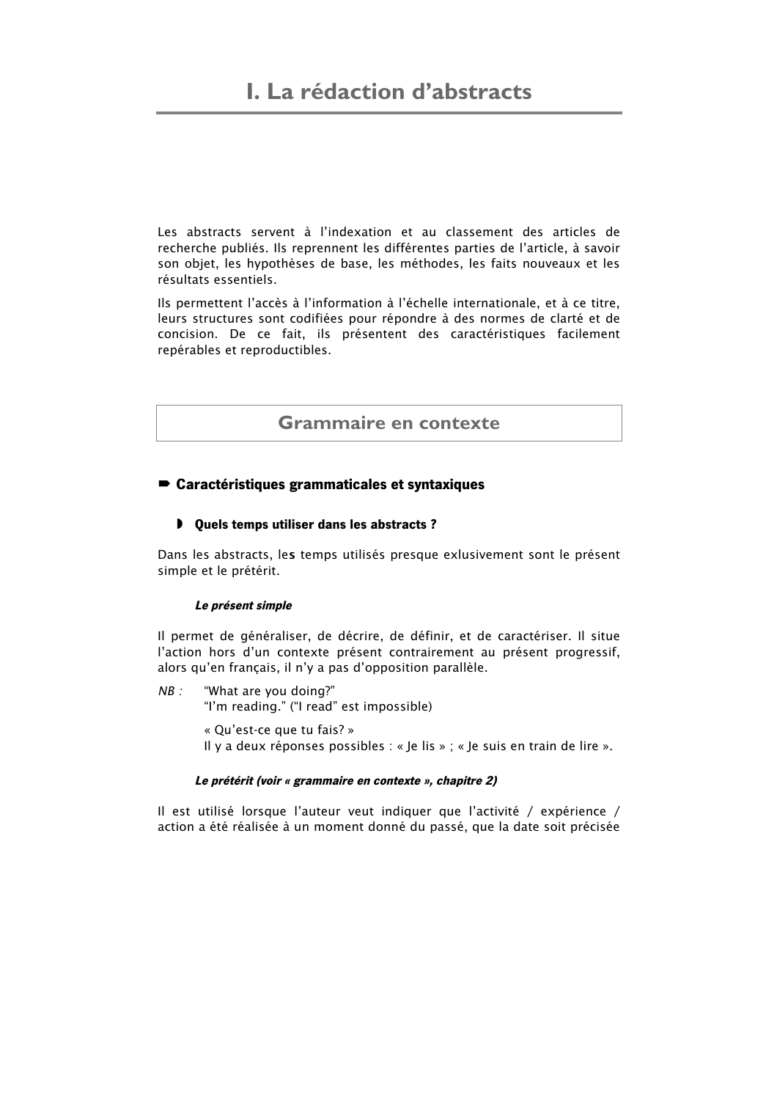Les abstracts servent à l'indexation et au classement des articles de recherche publiés. Ils reprennent les différentes parties de l'article, à savoir son objet, les hypothèses de base, les méthodes, les faits nouveaux et les résultats essentiels.

Ils permettent l'accès à l'information à l'échelle internationale, et à ce titre, leurs structures sont codifiées pour répondre à des normes de clarté et de concision. De ce fait, ils présentent des caractéristiques facilement repérables et reproductibles.

**Grammaire en contexte** 

# - **Caractéristiques grammaticales et syntaxiques**

# **Quels temps utiliser dans les abstracts ?**

Dans les abstracts, les temps utilisés presque exlusivement sont le présent simple et le prétérit.

## **Le présent simple**

Il permet de généraliser, de décrire, de définir, et de caractériser. Il situe l'action hors d'un contexte présent contrairement au présent progressif, alors qu'en français, il n'y a pas d'opposition parallèle.

*NB :* "What are you doing?" "I'm reading." ("I read" est impossible) « Qu'est-ce que tu fais? » Il y a deux réponses possibles : « Je lis » ; « Je suis en train de lire ».

## **Le prétérit (voir « grammaire en contexte », chapitre 2)**

Il est utilisé lorsque l'auteur veut indiquer que l'activité / expérience / action a été réalisée à un moment donné du passé, que la date soit précisée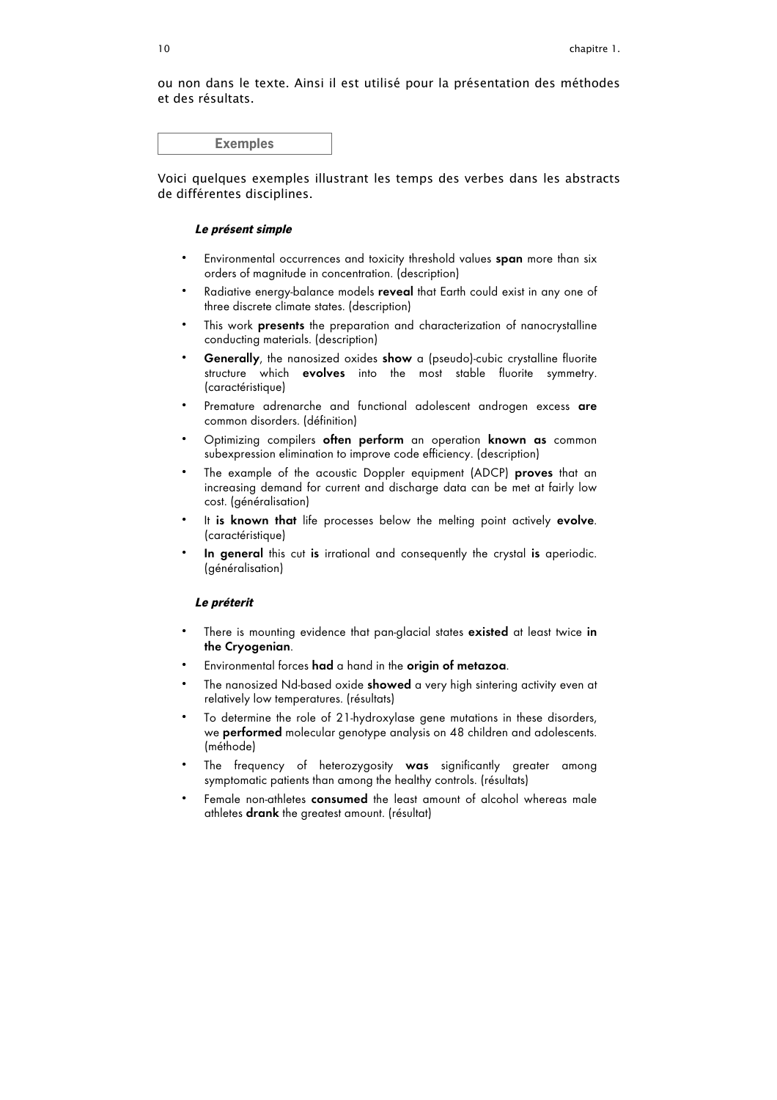ou non dans le texte. Ainsi il est utilisé pour la présentation des méthodes et des résultats.

**Exemples** 

Voici quelques exemples illustrant les temps des verbes dans les abstracts de différentes disciplines.

#### **Le présent simple**

- Environmental occurrences and toxicity threshold values span more than six orders of magnitude in concentration. (description)
- Radiative energy-balance models reveal that Earth could exist in any one of three discrete climate states. (description)
- This work presents the preparation and characterization of nanocrystalline conducting materials. (description)
- Generally, the nanosized oxides show a (pseudo)-cubic crystalline fluorite structure which evolves into the most stable fluorite symmetry. (caractéristique)
- Premature adrenarche and functional adolescent androgen excess are common disorders. (définition)
- Optimizing compilers often perform an operation known as common subexpression elimination to improve code efficiency. (description)
- The example of the acoustic Doppler equipment (ADCP) proves that an increasing demand for current and discharge data can be met at fairly low cost. (généralisation)
- It is known that life processes below the melting point actively evolve. (caractéristique)
- In general this cut is irrational and consequently the crystal is aperiodic. (généralisation)

#### **Le préterit**

- There is mounting evidence that pan-glacial states existed at least twice in the Cryogenian.
- Environmental forces had a hand in the origin of metazoa.
- The nanosized Nd-based oxide showed a very high sintering activity even at relatively low temperatures. (résultats)
- To determine the role of 21-hydroxylase gene mutations in these disorders, we **performed** molecular genotype analysis on 48 children and adolescents. (méthode)
- The frequency of heterozygosity was significantly greater among symptomatic patients than among the healthy controls. (résultats)
- Female non-athletes consumed the least amount of alcohol whereas male athletes drank the greatest amount. (résultat)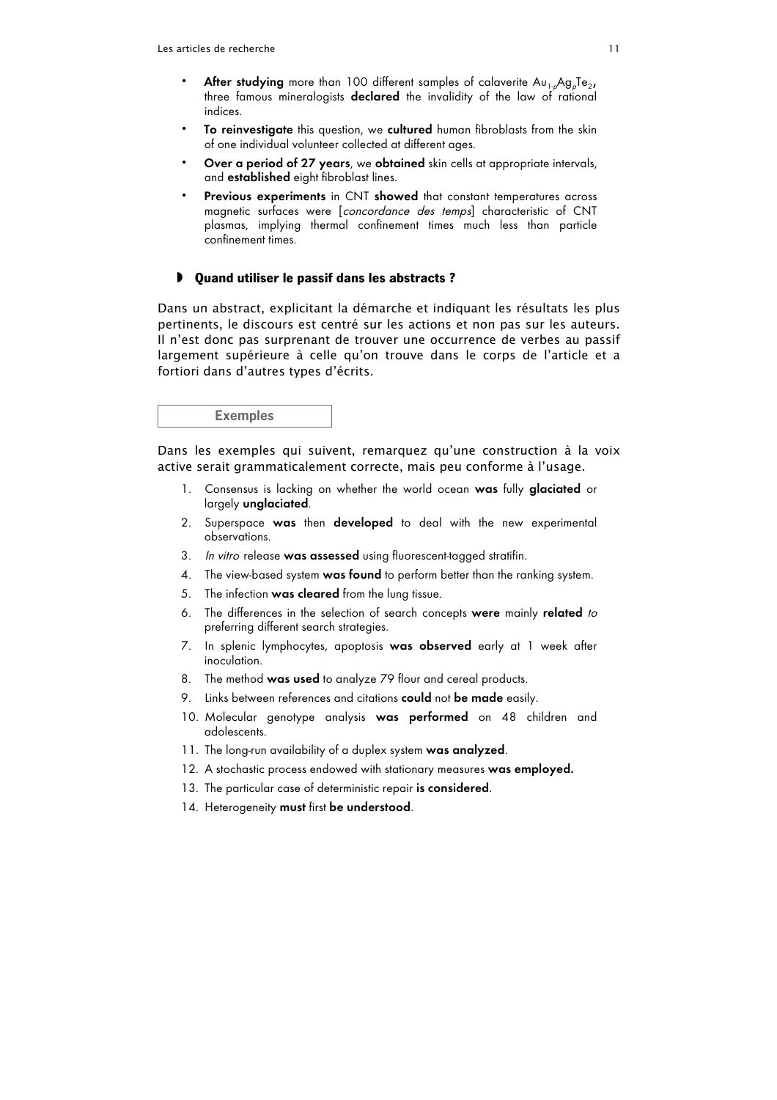- After studying more than 100 different samples of calaverite  $Au_{1p}Ag_{p}Te_{2p}$ three famous mineralogists declared the invalidity of the law of rational indices.
- To reinvestigate this question, we cultured human fibroblasts from the skin of one individual volunteer collected at different ages.
- Over a period of 27 years, we obtained skin cells at appropriate intervals, and established eight fibroblast lines.
- Previous experiments in CNT showed that constant temperatures across magnetic surfaces were [concordance des temps] characteristic of CNT plasmas, implying thermal confinement times much less than particle confinement times.

## **Quand utiliser le passif dans les abstracts ?**

Dans un abstract, explicitant la démarche et indiquant les résultats les plus pertinents, le discours est centré sur les actions et non pas sur les auteurs. Il n'est donc pas surprenant de trouver une occurrence de verbes au passif largement supérieure à celle qu'on trouve dans le corps de l'article et a fortiori dans d'autres types d'écrits.

#### **Exemples**

Dans les exemples qui suivent, remarquez qu'une construction à la voix active serait grammaticalement correcte, mais peu conforme à l'usage.

- 1. Consensus is lacking on whether the world ocean was fully glaciated or largely unglaciated.
- 2. Superspace was then developed to deal with the new experimental observations.
- 3. In vitro release was assessed using fluorescent-tagged stratifin.
- 4. The view-based system was found to perform better than the ranking system.
- 5. The infection was cleared from the lung tissue.
- 6. The differences in the selection of search concepts were mainly related to preferring different search strategies.
- 7. In splenic lymphocytes, apoptosis was observed early at 1 week after inoculation.
- 8. The method was used to analyze 79 flour and cereal products.
- 9. Links between references and citations could not be made easily.
- 10. Molecular genotype analysis was performed on 48 children and adolescents.
- 11. The long-run availability of a duplex system was analyzed.
- 12. A stochastic process endowed with stationary measures was employed.
- 13. The particular case of deterministic repair is considered.
- 14. Heterogeneity must first be understood.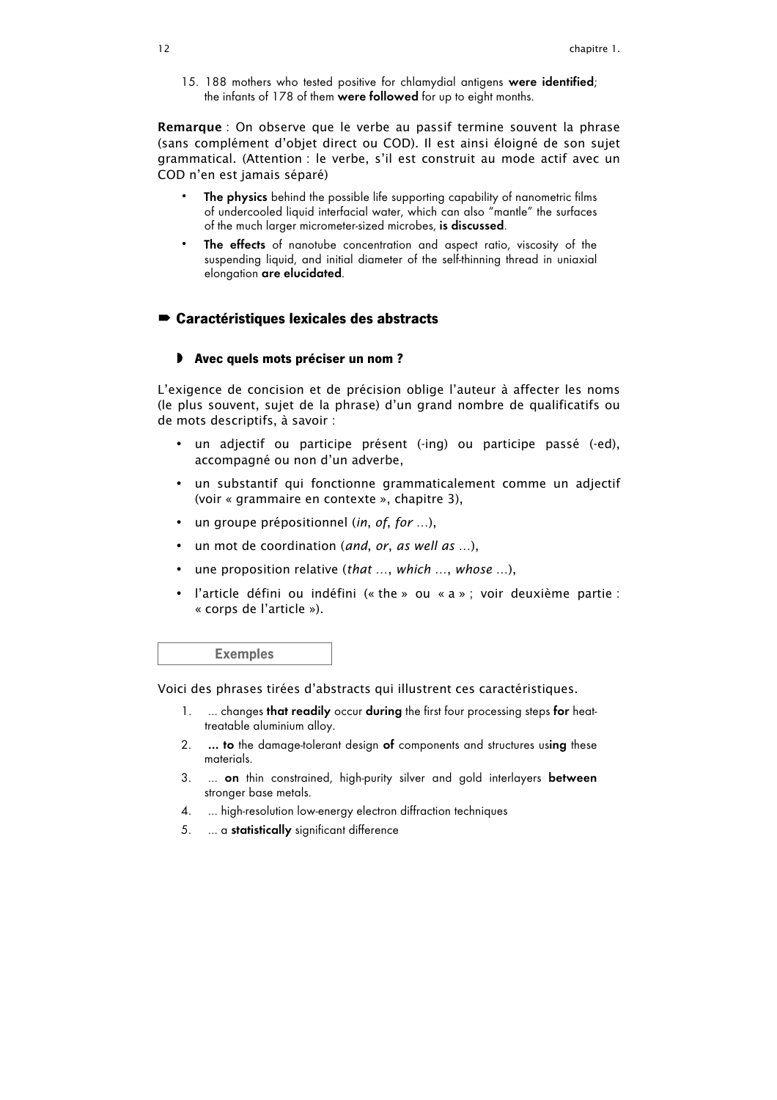15. 188 mothers who tested positive for chlamydial antigens were identified; the infants of 178 of them were followed for up to eight months.

Remarque : On observe que le verbe au passif termine souvent la phrase (sans complément d'objet direct ou COD). Il est ainsi éloigné de son sujet grammatical. (Attention : le verbe, s'il est construit au mode actif avec un COD n'en est jamais séparé)

- The physics behind the possible life supporting capability of nanometric films of undercooled liquid interfacial water, which can also "mantle" the surfaces of the much larger micrometer-sized microbes, is discussed.
- The effects of nanotube concentration and aspect ratio, viscosity of the suspending liquid, and initial diameter of the self-thinning thread in uniaxial elongation are elucidated.

# - **Caractéristiques lexicales des abstracts**

#### **Avec quels mots préciser un nom ?**

L'exigence de concision et de précision oblige l'auteur à affecter les noms (le plus souvent, sujet de la phrase) d'un grand nombre de qualificatifs ou de mots descriptifs, à savoir :

- un adjectif ou participe présent (-ing) ou participe passé (-ed), accompagné ou non d'un adverbe,
- un substantif qui fonctionne grammaticalement comme un adjectif (voir « grammaire en contexte », chapitre 3),
- un groupe prépositionnel (*in*, *of*, *for* …),
- un mot de coordination (*and*, *or*, *as well as* …),
- une proposition relative (*that* …, *which* …, *whose* …),
- l'article défini ou indéfini (« the » ou « a » ; voir deuxième partie : « corps de l'article »).

#### **Exemples**

Voici des phrases tirées d'abstracts qui illustrent ces caractéristiques.

- ... changes that readily occur during the first four processing steps for heattreatable aluminium alloy.
- 2. ... to the damage-tolerant design of components and structures using these materials.
- 3. … on thin constrained, high-purity silver and gold interlayers between stronger base metals.
- 4. … high-resolution low-energy electron diffraction techniques
- 5. ... a statistically significant difference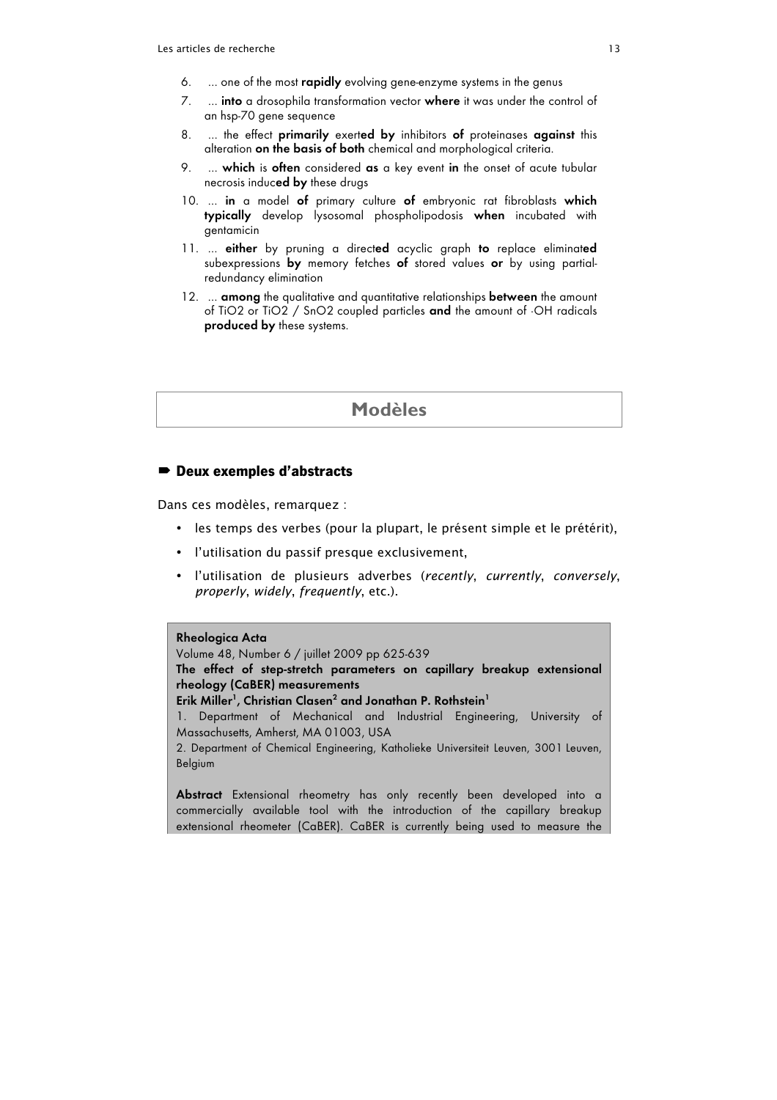- 6. … one of the most rapidly evolving gene-enzyme systems in the genus
- 7. ... into a drosophila transformation vector where it was under the control of an hsp-70 gene sequence
- 8. ... the effect primarily exerted by inhibitors of proteinases against this alteration on the basis of both chemical and morphological criteria.
- 9. ... which is often considered as a key event in the onset of acute tubular necrosis induced by these drugs
- 10. ... in a model of primary culture of embryonic rat fibroblasts which typically develop lysosomal phospholipodosis when incubated with gentamicin
- 11. ... either by pruning a directed acyclic graph to replace eliminated subexpressions by memory fetches of stored values or by using partialredundancy elimination
- 12. ... **among** the qualitative and quantitative relationships **between** the amount of TiO2 or TiO2 / SnO2 coupled particles and the amount of ·OH radicals produced by these systems.

**Modèles** 

# - **Deux exemples d'abstracts**

Dans ces modèles, remarquez :

- les temps des verbes (pour la plupart, le présent simple et le prétérit),
- l'utilisation du passif presque exclusivement,
- l'utilisation de plusieurs adverbes (*recently*, *currently*, *conversely*, *properly*, *widely*, *frequently*, etc.).

#### Rheologica Acta

Volume 48, Number 6 / juillet 2009 pp 625-639 The effect of step-stretch parameters on capillary breakup extensional rheology (CaBER) measurements Erik Miller $^{\rm l}$ , Christian Clasen $^{\rm 2}$  and Jonathan P. Rothstein $^{\rm l}$ 

1. Department of Mechanical and Industrial Engineering, University of Massachusetts, Amherst, MA 01003, USA

2. Department of Chemical Engineering, Katholieke Universiteit Leuven, 3001 Leuven, Belgium

Abstract Extensional rheometry has only recently been developed into a commercially available tool with the introduction of the capillary breakup extensional rheometer (CaBER). CaBER is currently being used to measure the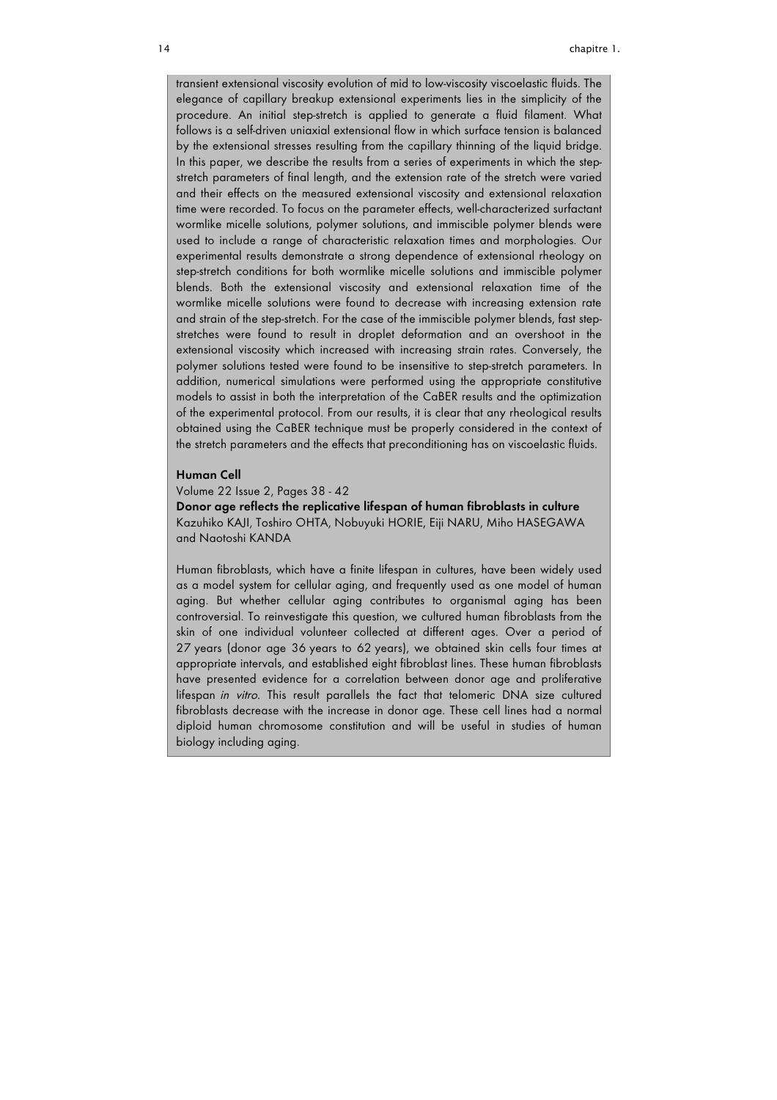transient extensional viscosity evolution of mid to low-viscosity viscoelastic fluids. The elegance of capillary breakup extensional experiments lies in the simplicity of the procedure. An initial step-stretch is applied to generate a fluid filament. What follows is a self-driven uniaxial extensional flow in which surface tension is balanced by the extensional stresses resulting from the capillary thinning of the liquid bridge. In this paper, we describe the results from a series of experiments in which the stepstretch parameters of final length, and the extension rate of the stretch were varied and their effects on the measured extensional viscosity and extensional relaxation time were recorded. To focus on the parameter effects, well-characterized surfactant wormlike micelle solutions, polymer solutions, and immiscible polymer blends were used to include a range of characteristic relaxation times and morphologies. Our experimental results demonstrate a strong dependence of extensional rheology on step-stretch conditions for both wormlike micelle solutions and immiscible polymer blends. Both the extensional viscosity and extensional relaxation time of the wormlike micelle solutions were found to decrease with increasing extension rate and strain of the step-stretch. For the case of the immiscible polymer blends, fast stepstretches were found to result in droplet deformation and an overshoot in the extensional viscosity which increased with increasing strain rates. Conversely, the polymer solutions tested were found to be insensitive to step-stretch parameters. In addition, numerical simulations were performed using the appropriate constitutive models to assist in both the interpretation of the CaBER results and the optimization of the experimental protocol. From our results, it is clear that any rheological results obtained using the CaBER technique must be properly considered in the context of the stretch parameters and the effects that preconditioning has on viscoelastic fluids.

#### Human Cell

Volume 22 Issue 2, Pages 38 - 42 Donor age reflects the replicative lifespan of human fibroblasts in culture Kazuhiko KAJI, Toshiro OHTA, Nobuyuki HORIE, Eiji NARU, Miho HASEGAWA and Naotoshi KANDA

Human fibroblasts, which have a finite lifespan in cultures, have been widely used as a model system for cellular aging, and frequently used as one model of human aging. But whether cellular aging contributes to organismal aging has been controversial. To reinvestigate this question, we cultured human fibroblasts from the skin of one individual volunteer collected at different ages. Over a period of 27 years (donor age 36 years to 62 years), we obtained skin cells four times at appropriate intervals, and established eight fibroblast lines. These human fibroblasts have presented evidence for a correlation between donor age and proliferative lifespan in vitro. This result parallels the fact that telomeric DNA size cultured fibroblasts decrease with the increase in donor age. These cell lines had a normal diploid human chromosome constitution and will be useful in studies of human biology including aging.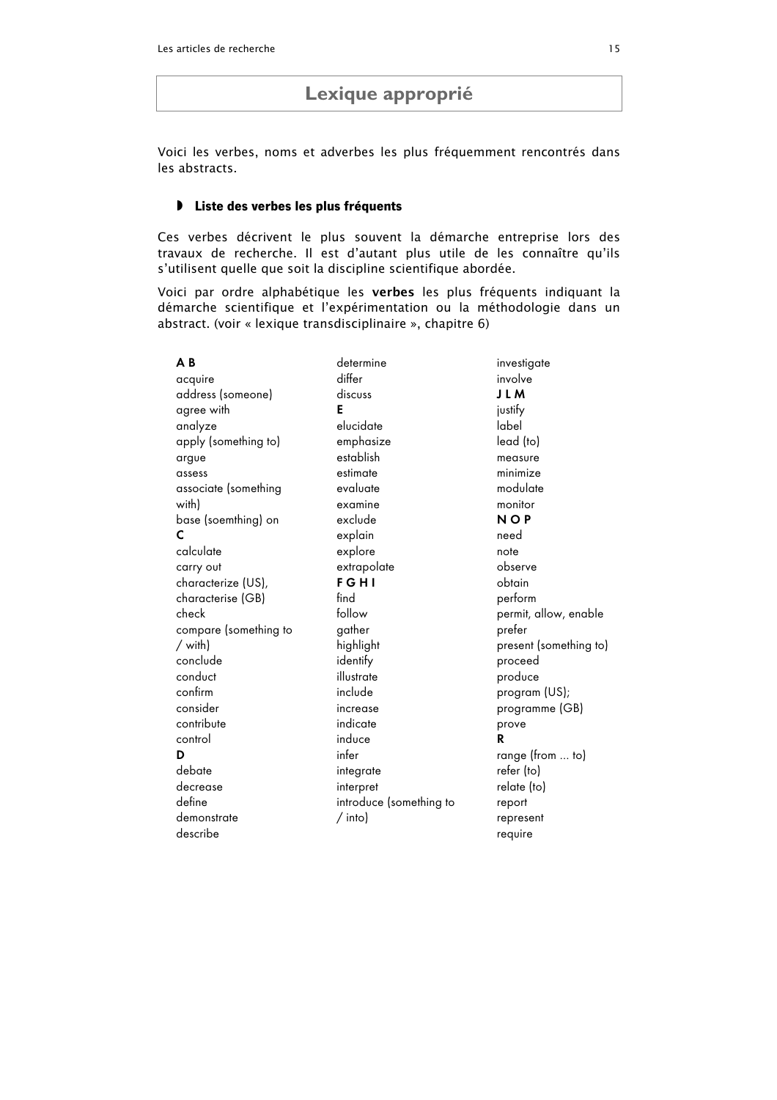# **Lexique approprié**

Voici les verbes, noms et adverbes les plus fréquemment rencontrés dans les abstracts.

## **Liste des verbes les plus fréquents**

Ces verbes décrivent le plus souvent la démarche entreprise lors des travaux de recherche. Il est d'autant plus utile de les connaître qu'ils s'utilisent quelle que soit la discipline scientifique abordée.

Voici par ordre alphabétique les verbes les plus fréquents indiquant la démarche scientifique et l'expérimentation ou la méthodologie dans un abstract. (voir « lexique transdisciplinaire », chapitre 6)

| ΑB                    | determine               | investigate            |
|-----------------------|-------------------------|------------------------|
| acquire               | differ                  | involve                |
| address (someone)     | discuss                 | <b>JLM</b>             |
| agree with            | Е                       | justify                |
| analyze               | elucidate               | label                  |
| apply (something to)  | emphasize               | lead (to)              |
| argue                 | establish               | measure                |
| assess                | estimate                | minimize               |
| associate (something  | evaluate                | modulate               |
| with)                 | examine                 | monitor                |
| base (soemthing) on   | exclude                 | <b>NOP</b>             |
| C                     | explain                 | need                   |
| calculate             | explore                 | note                   |
| carry out             | extrapolate             | observe                |
| characterize (US),    | <b>FGHI</b>             | obtain                 |
| characterise (GB)     | find                    | perform                |
| check                 | follow                  | permit, allow, enable  |
| compare (something to | gather                  | prefer                 |
| / with)               | highlight               | present (something to) |
| conclude              | identify                | proceed                |
| conduct               | illustrate              | produce                |
| confirm               | include                 | program (US);          |
| consider              | increase                | programme (GB)         |
| contribute            | indicate                | prove                  |
| control               | induce                  | R                      |
| D                     | infer                   | range (from  to)       |
| debate                | integrate               | refer (to)             |
| decrease              | interpret               | relate (to)            |
| define                | introduce (something to | report                 |
| demonstrate           | $/$ into)               | represent              |
| describe              |                         | require                |